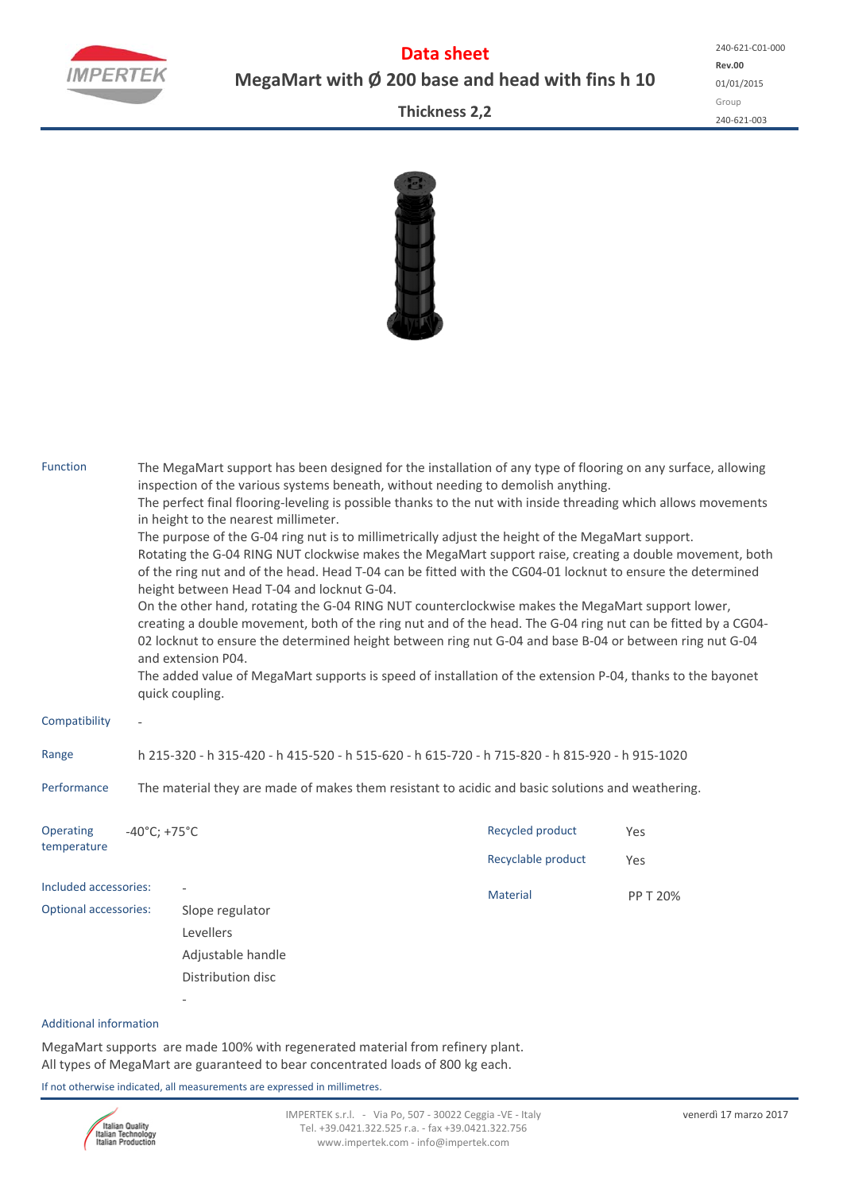

**Data sheet MegaMart with Ø 200 base and head with fins h 10**

**Rev.00** 01/01/2015 Group 240‐621‐003 240‐621‐C01‐000

**Thickness 2,2**



| The MegaMart support has been designed for the installation of any type of flooring on any surface, allowing<br>inspection of the various systems beneath, without needing to demolish anything.<br>The perfect final flooring-leveling is possible thanks to the nut with inside threading which allows movements<br>in height to the nearest millimeter.<br>The purpose of the G-04 ring nut is to millimetrically adjust the height of the MegaMart support.<br>Rotating the G-04 RING NUT clockwise makes the MegaMart support raise, creating a double movement, both<br>of the ring nut and of the head. Head T-04 can be fitted with the CG04-01 locknut to ensure the determined<br>height between Head T-04 and locknut G-04.<br>On the other hand, rotating the G-04 RING NUT counterclockwise makes the MegaMart support lower,<br>creating a double movement, both of the ring nut and of the head. The G-04 ring nut can be fitted by a CG04-<br>02 locknut to ensure the determined height between ring nut G-04 and base B-04 or between ring nut G-04<br>and extension P04.<br>The added value of MegaMart supports is speed of installation of the extension P-04, thanks to the bayonet<br>quick coupling. |                                                                        |                                        |            |  |  |  |  |  |  |
|------------------------------------------------------------------------------------------------------------------------------------------------------------------------------------------------------------------------------------------------------------------------------------------------------------------------------------------------------------------------------------------------------------------------------------------------------------------------------------------------------------------------------------------------------------------------------------------------------------------------------------------------------------------------------------------------------------------------------------------------------------------------------------------------------------------------------------------------------------------------------------------------------------------------------------------------------------------------------------------------------------------------------------------------------------------------------------------------------------------------------------------------------------------------------------------------------------------------------|------------------------------------------------------------------------|----------------------------------------|------------|--|--|--|--|--|--|
|                                                                                                                                                                                                                                                                                                                                                                                                                                                                                                                                                                                                                                                                                                                                                                                                                                                                                                                                                                                                                                                                                                                                                                                                                              |                                                                        |                                        |            |  |  |  |  |  |  |
| h 215-320 - h 315-420 - h 415-520 - h 515-620 - h 615-720 - h 715-820 - h 815-920 - h 915-1020                                                                                                                                                                                                                                                                                                                                                                                                                                                                                                                                                                                                                                                                                                                                                                                                                                                                                                                                                                                                                                                                                                                               |                                                                        |                                        |            |  |  |  |  |  |  |
| Performance<br>The material they are made of makes them resistant to acidic and basic solutions and weathering.                                                                                                                                                                                                                                                                                                                                                                                                                                                                                                                                                                                                                                                                                                                                                                                                                                                                                                                                                                                                                                                                                                              |                                                                        |                                        |            |  |  |  |  |  |  |
|                                                                                                                                                                                                                                                                                                                                                                                                                                                                                                                                                                                                                                                                                                                                                                                                                                                                                                                                                                                                                                                                                                                                                                                                                              |                                                                        | Recycled product<br>Recyclable product | Yes<br>Yes |  |  |  |  |  |  |
| Included accessories:<br><b>Optional accessories:</b>                                                                                                                                                                                                                                                                                                                                                                                                                                                                                                                                                                                                                                                                                                                                                                                                                                                                                                                                                                                                                                                                                                                                                                        | Slope regulator<br>Levellers<br>Adjustable handle<br>Distribution disc | Material                               | PP T 20%   |  |  |  |  |  |  |
|                                                                                                                                                                                                                                                                                                                                                                                                                                                                                                                                                                                                                                                                                                                                                                                                                                                                                                                                                                                                                                                                                                                                                                                                                              |                                                                        | $-40^{\circ}$ C; +75 $^{\circ}$ C      |            |  |  |  |  |  |  |

## Additional information

MegaMart supports are made 100% with regenerated material from refinery plant. All types of MegaMart are guaranteed to bear concentrated loads of 800 kg each.

If not otherwise indicated, all measurements are expressed in millimetres.